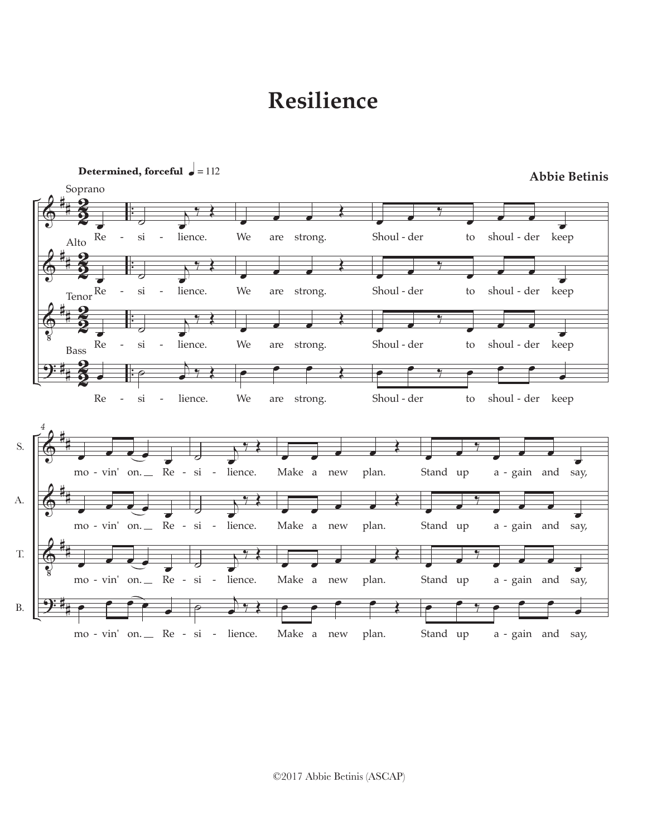## **Resilience**



©2017 Abbie Betinis (ASCAP)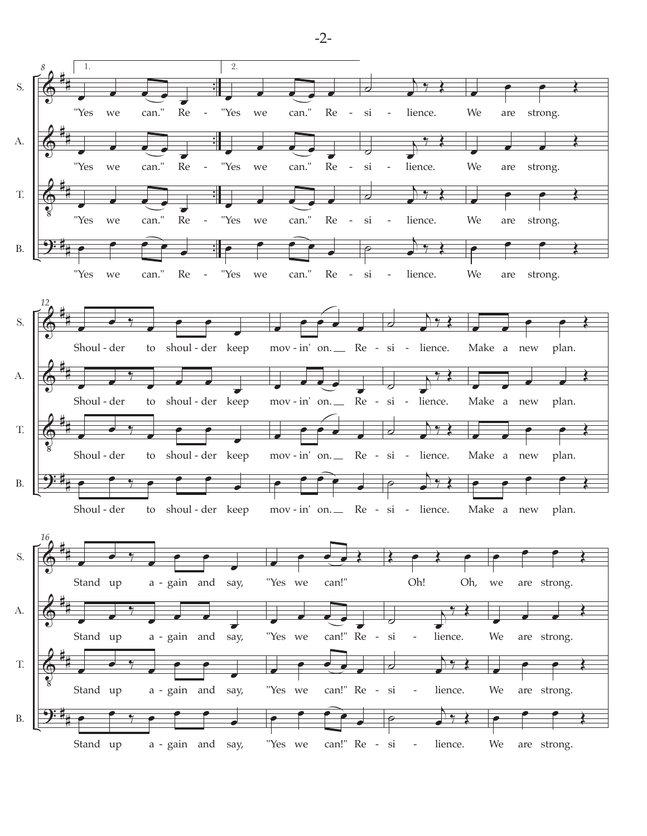

-2-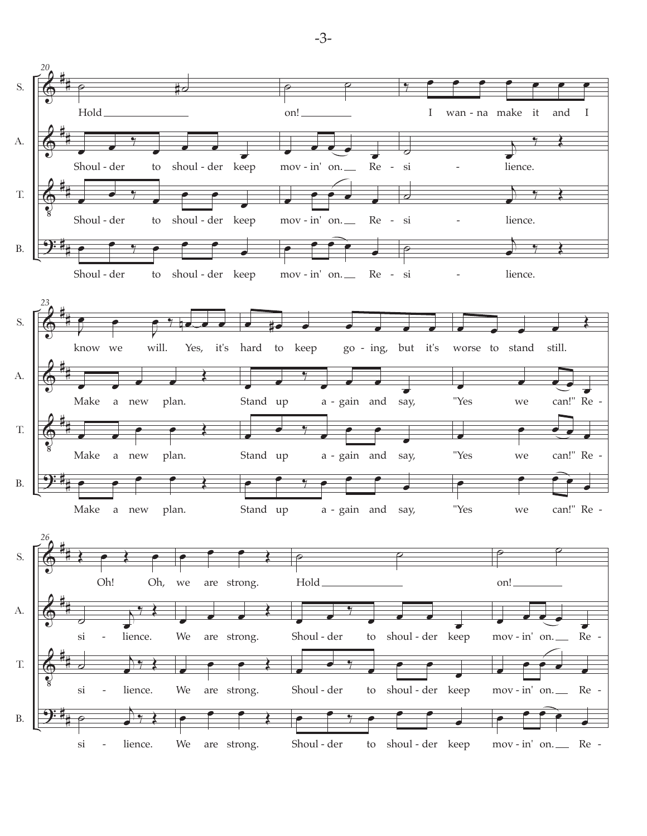

-3-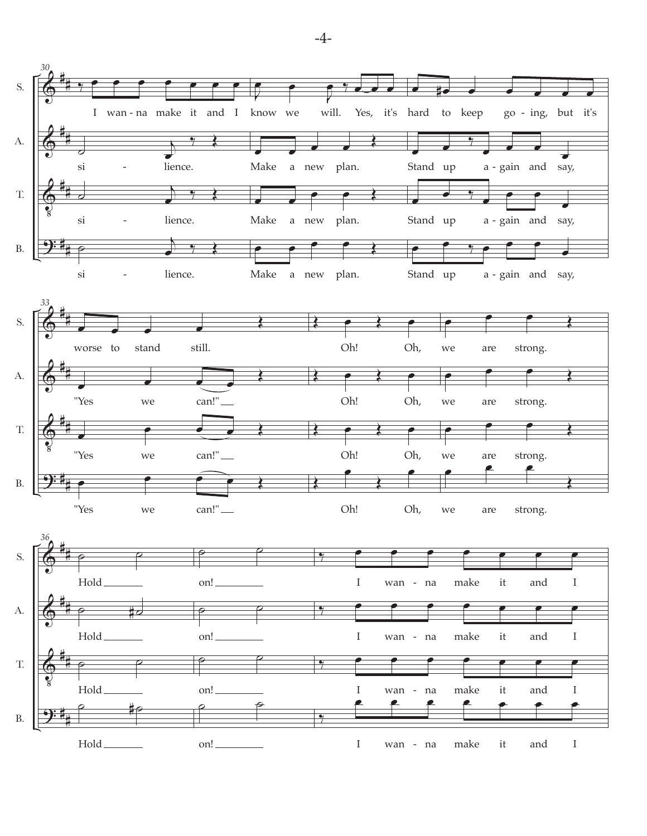

-4-